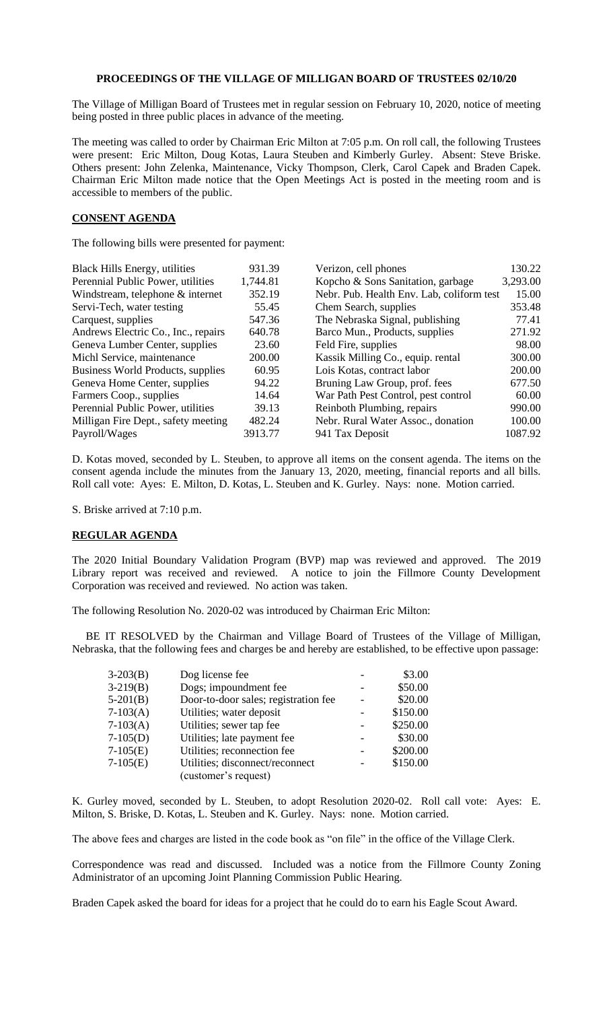## **PROCEEDINGS OF THE VILLAGE OF MILLIGAN BOARD OF TRUSTEES 02/10/20**

The Village of Milligan Board of Trustees met in regular session on February 10, 2020, notice of meeting being posted in three public places in advance of the meeting.

The meeting was called to order by Chairman Eric Milton at 7:05 p.m. On roll call, the following Trustees were present: Eric Milton, Doug Kotas, Laura Steuben and Kimberly Gurley. Absent: Steve Briske. Others present: John Zelenka, Maintenance, Vicky Thompson, Clerk, Carol Capek and Braden Capek. Chairman Eric Milton made notice that the Open Meetings Act is posted in the meeting room and is accessible to members of the public.

## **CONSENT AGENDA**

The following bills were presented for payment:

| <b>Black Hills Energy, utilities</b> | 931.39   | Verizon, cell phones                      | 130.22   |
|--------------------------------------|----------|-------------------------------------------|----------|
| Perennial Public Power, utilities    | 1,744.81 | Kopcho & Sons Sanitation, garbage         | 3,293.00 |
| Windstream, telephone & internet     | 352.19   | Nebr. Pub. Health Env. Lab, coliform test | 15.00    |
| Servi-Tech, water testing            | 55.45    | Chem Search, supplies                     | 353.48   |
| Carquest, supplies                   | 547.36   | The Nebraska Signal, publishing           | 77.41    |
| Andrews Electric Co., Inc., repairs  | 640.78   | Barco Mun., Products, supplies            | 271.92   |
| Geneva Lumber Center, supplies       | 23.60    | Feld Fire, supplies                       | 98.00    |
| Michl Service, maintenance           | 200.00   | Kassik Milling Co., equip. rental         | 300.00   |
| Business World Products, supplies    | 60.95    | Lois Kotas, contract labor                | 200.00   |
| Geneva Home Center, supplies         | 94.22    | Bruning Law Group, prof. fees             | 677.50   |
| Farmers Coop., supplies              | 14.64    | War Path Pest Control, pest control       | 60.00    |
| Perennial Public Power, utilities    | 39.13    | Reinboth Plumbing, repairs                | 990.00   |
| Milligan Fire Dept., safety meeting  | 482.24   | Nebr. Rural Water Assoc., donation        | 100.00   |
| Payroll/Wages                        | 3913.77  | 941 Tax Deposit                           | 1087.92  |

D. Kotas moved, seconded by L. Steuben, to approve all items on the consent agenda. The items on the consent agenda include the minutes from the January 13, 2020, meeting, financial reports and all bills. Roll call vote: Ayes: E. Milton, D. Kotas, L. Steuben and K. Gurley. Nays: none. Motion carried.

S. Briske arrived at 7:10 p.m.

## **REGULAR AGENDA**

The 2020 Initial Boundary Validation Program (BVP) map was reviewed and approved. The 2019 Library report was received and reviewed. A notice to join the Fillmore County Development Corporation was received and reviewed. No action was taken.

The following Resolution No. 2020-02 was introduced by Chairman Eric Milton:

 BE IT RESOLVED by the Chairman and Village Board of Trustees of the Village of Milligan, Nebraska, that the following fees and charges be and hereby are established, to be effective upon passage:

| $3-203(B)$ | Dog license fee                      | \$3.00   |
|------------|--------------------------------------|----------|
| $3-219(B)$ | Dogs; impoundment fee                | \$50.00  |
| $5-201(B)$ | Door-to-door sales; registration fee | \$20.00  |
| $7-103(A)$ | Utilities; water deposit             | \$150.00 |
| $7-103(A)$ | Utilities; sewer tap fee             | \$250.00 |
| $7-105(D)$ | Utilities; late payment fee          | \$30.00  |
| $7-105(E)$ | Utilities; reconnection fee          | \$200.00 |
| $7-105(E)$ | Utilities; disconnect/reconnect      | \$150.00 |
|            | (customer's request)                 |          |

K. Gurley moved, seconded by L. Steuben, to adopt Resolution 2020-02. Roll call vote: Ayes: E. Milton, S. Briske, D. Kotas, L. Steuben and K. Gurley. Nays: none. Motion carried.

The above fees and charges are listed in the code book as "on file" in the office of the Village Clerk.

Correspondence was read and discussed. Included was a notice from the Fillmore County Zoning Administrator of an upcoming Joint Planning Commission Public Hearing.

Braden Capek asked the board for ideas for a project that he could do to earn his Eagle Scout Award.